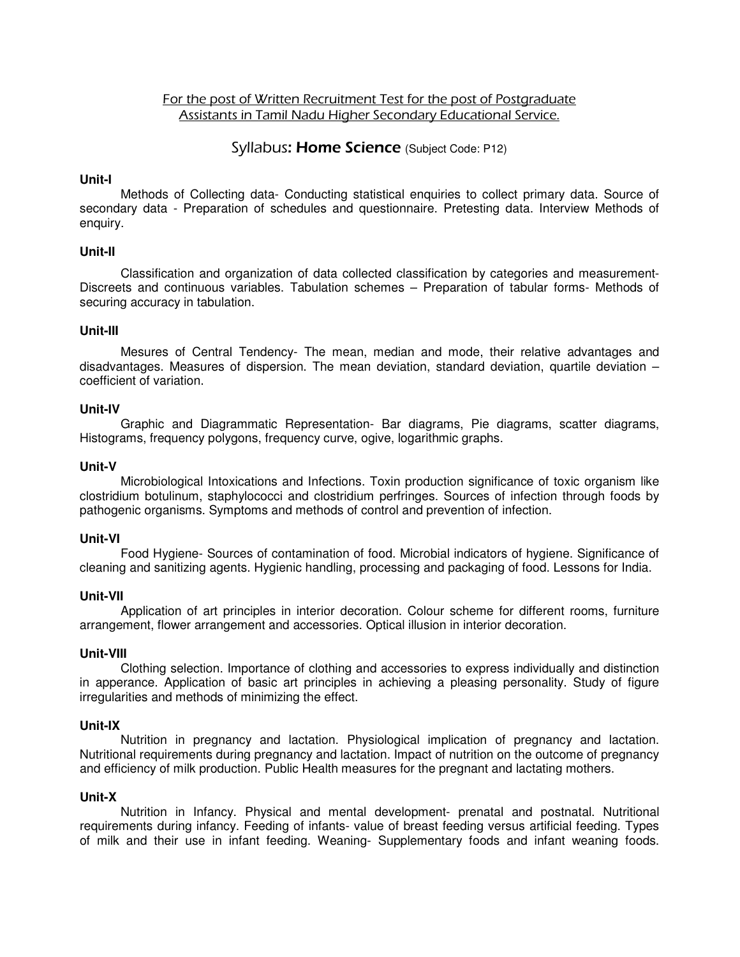# For the post of Written Recruitment Test for the post of Postgraduate Assistants in Tamil Nadu Higher Secondary Educational Service.

# Syllabus: Home Science (Subject Code: P12)

## **Unit-I**

 Methods of Collecting data- Conducting statistical enquiries to collect primary data. Source of secondary data - Preparation of schedules and questionnaire. Pretesting data. Interview Methods of enquiry.

## **Unit-II**

 Classification and organization of data collected classification by categories and measurement-Discreets and continuous variables. Tabulation schemes – Preparation of tabular forms- Methods of securing accuracy in tabulation.

## **Unit-III**

 Mesures of Central Tendency- The mean, median and mode, their relative advantages and disadvantages. Measures of dispersion. The mean deviation, standard deviation, quartile deviation – coefficient of variation.

## **Unit-IV**

 Graphic and Diagrammatic Representation- Bar diagrams, Pie diagrams, scatter diagrams, Histograms, frequency polygons, frequency curve, ogive, logarithmic graphs.

## **Unit-V**

 Microbiological Intoxications and Infections. Toxin production significance of toxic organism like clostridium botulinum, staphylococci and clostridium perfringes. Sources of infection through foods by pathogenic organisms. Symptoms and methods of control and prevention of infection.

### **Unit-VI**

 Food Hygiene- Sources of contamination of food. Microbial indicators of hygiene. Significance of cleaning and sanitizing agents. Hygienic handling, processing and packaging of food. Lessons for India.

### **Unit-VII**

 Application of art principles in interior decoration. Colour scheme for different rooms, furniture arrangement, flower arrangement and accessories. Optical illusion in interior decoration.

### **Unit-VIII**

 Clothing selection. Importance of clothing and accessories to express individually and distinction in apperance. Application of basic art principles in achieving a pleasing personality. Study of figure irregularities and methods of minimizing the effect.

### **Unit-IX**

 Nutrition in pregnancy and lactation. Physiological implication of pregnancy and lactation. Nutritional requirements during pregnancy and lactation. Impact of nutrition on the outcome of pregnancy and efficiency of milk production. Public Health measures for the pregnant and lactating mothers.

### **Unit-X**

 Nutrition in Infancy. Physical and mental development- prenatal and postnatal. Nutritional requirements during infancy. Feeding of infants- value of breast feeding versus artificial feeding. Types of milk and their use in infant feeding. Weaning- Supplementary foods and infant weaning foods.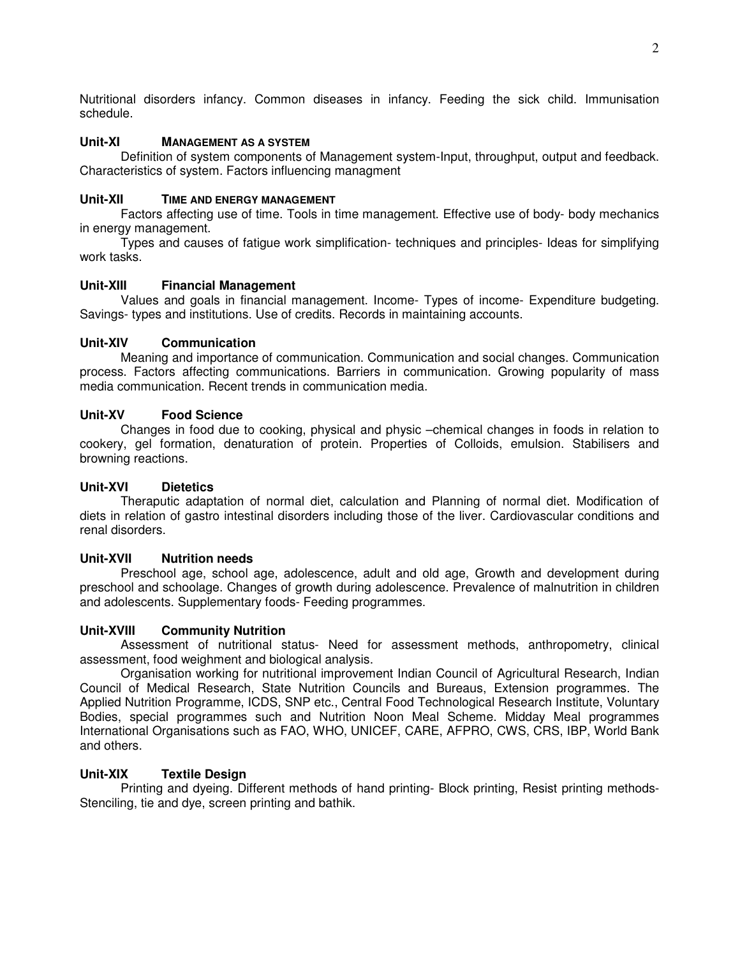Nutritional disorders infancy. Common diseases in infancy. Feeding the sick child. Immunisation schedule.

# **Unit-XI MANAGEMENT AS A SYSTEM**

 Definition of system components of Management system-Input, throughput, output and feedback. Characteristics of system. Factors influencing managment

# **Unit-XII TIME AND ENERGY MANAGEMENT**

 Factors affecting use of time. Tools in time management. Effective use of body- body mechanics in energy management.

 Types and causes of fatigue work simplification- techniques and principles- Ideas for simplifying work tasks.

# **Unit-XIII Financial Management**

 Values and goals in financial management. Income- Types of income- Expenditure budgeting. Savings- types and institutions. Use of credits. Records in maintaining accounts.

## **Unit-XIV Communication**

 Meaning and importance of communication. Communication and social changes. Communication process. Factors affecting communications. Barriers in communication. Growing popularity of mass media communication. Recent trends in communication media.

## **Unit-XV Food Science**

 Changes in food due to cooking, physical and physic –chemical changes in foods in relation to cookery, gel formation, denaturation of protein. Properties of Colloids, emulsion. Stabilisers and browning reactions.

### **Unit-XVI Dietetics**

 Theraputic adaptation of normal diet, calculation and Planning of normal diet. Modification of diets in relation of gastro intestinal disorders including those of the liver. Cardiovascular conditions and renal disorders.

# **Unit-XVII Nutrition needs**

 Preschool age, school age, adolescence, adult and old age, Growth and development during preschool and schoolage. Changes of growth during adolescence. Prevalence of malnutrition in children and adolescents. Supplementary foods- Feeding programmes.

## **Unit-XVIII Community Nutrition**

 Assessment of nutritional status- Need for assessment methods, anthropometry, clinical assessment, food weighment and biological analysis.

 Organisation working for nutritional improvement Indian Council of Agricultural Research, Indian Council of Medical Research, State Nutrition Councils and Bureaus, Extension programmes. The Applied Nutrition Programme, ICDS, SNP etc., Central Food Technological Research Institute, Voluntary Bodies, special programmes such and Nutrition Noon Meal Scheme. Midday Meal programmes International Organisations such as FAO, WHO, UNICEF, CARE, AFPRO, CWS, CRS, IBP, World Bank and others.

# **Unit-XIX Textile Design**

 Printing and dyeing. Different methods of hand printing- Block printing, Resist printing methods-Stenciling, tie and dye, screen printing and bathik.